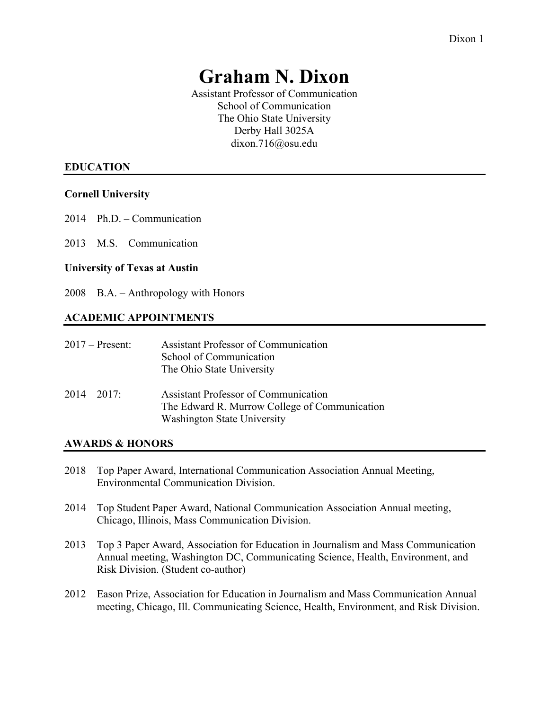# **Graham N. Dixon**

Assistant Professor of Communication School of Communication The Ohio State University Derby Hall 3025A dixon.716@osu.edu

## **EDUCATION**

#### **Cornell University**

- 2014 Ph.D. Communication
- 2013 M.S. Communication

#### **University of Texas at Austin**

2008 B.A. – Anthropology with Honors

#### **ACADEMIC APPOINTMENTS**

| $2017$ – Present: | <b>Assistant Professor of Communication</b><br>School of Communication<br>The Ohio State University                                |
|-------------------|------------------------------------------------------------------------------------------------------------------------------------|
| $2014 - 2017$ :   | <b>Assistant Professor of Communication</b><br>The Edward R. Murrow College of Communication<br><b>Washington State University</b> |

#### **AWARDS & HONORS**

- 2018 Top Paper Award, International Communication Association Annual Meeting, Environmental Communication Division.
- 2014 Top Student Paper Award, National Communication Association Annual meeting, Chicago, Illinois, Mass Communication Division.
- 2013 Top 3 Paper Award, Association for Education in Journalism and Mass Communication Annual meeting, Washington DC, Communicating Science, Health, Environment, and Risk Division. (Student co-author)
- 2012 Eason Prize, Association for Education in Journalism and Mass Communication Annual meeting, Chicago, Ill. Communicating Science, Health, Environment, and Risk Division.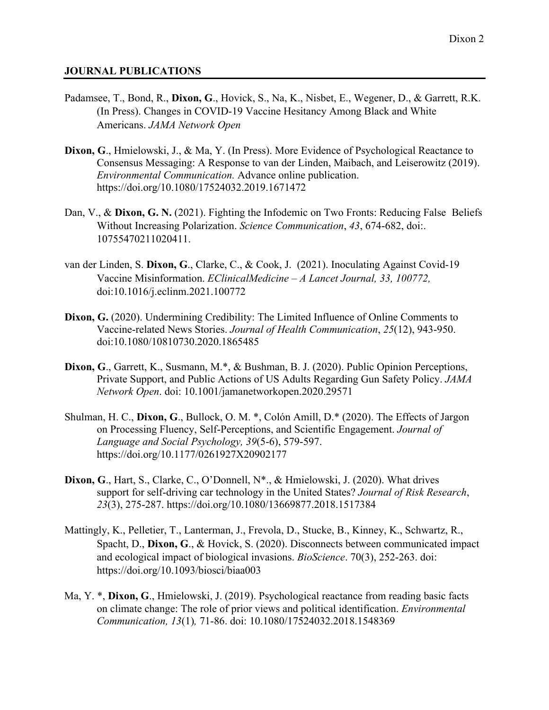#### **JOURNAL PUBLICATIONS**

- Padamsee, T., Bond, R., **Dixon, G**., Hovick, S., Na, K., Nisbet, E., Wegener, D., & Garrett, R.K. (In Press). Changes in COVID-19 Vaccine Hesitancy Among Black and White Americans. *JAMA Network Open*
- **Dixon, G**., Hmielowski, J., & Ma, Y. (In Press). More Evidence of Psychological Reactance to Consensus Messaging: A Response to van der Linden, Maibach, and Leiserowitz (2019). *Environmental Communication.* Advance online publication. <https://doi.org/10.1080/17524032.2019.1671472>
- Dan, V., & **Dixon, G. N.** (2021). Fighting the Infodemic on Two Fronts: Reducing False Beliefs Without Increasing Polarization. *Science Communication*, *43*, 674-682, doi:. 10755470211020411.
- van der Linden, S. **Dixon, G**., Clarke, C., & Cook, J. (2021). Inoculating Against Covid-19 Vaccine Misinformation. *EClinicalMedicine – A Lancet Journal, 33, 100772,* doi:10.1016/j.eclinm.2021.100772
- **Dixon, G.** (2020). Undermining Credibility: The Limited Influence of Online Comments to Vaccine-related News Stories. *Journal of Health Communication*, *25*(12), 943-950. doi:10.1080/10810730.2020.1865485
- **Dixon, G**., Garrett, K., Susmann, M.\*, & Bushman, B. J. (2020). Public Opinion Perceptions, Private Support, and Public Actions of US Adults Regarding Gun Safety Policy. *JAMA Network Open*. doi: 10.1001/jamanetworkopen.2020.29571
- Shulman, H. C., **Dixon, G**., Bullock, O. M. \*, Colón Amill, D.\* (2020). The Effects of Jargon on Processing Fluency, Self-Perceptions, and Scientific Engagement. *Journal of Language and Social Psychology, 39*(5-6), 579-597. https://doi.org/10.1177/0261927X20902177
- **Dixon, G**., Hart, S., Clarke, C., O'Donnell, N\*., & Hmielowski, J. (2020). What drives support for self-driving car technology in the United States? *Journal of Risk Research*, *23*(3), 275-287.<https://doi.org/10.1080/13669877.2018.1517384>
- Mattingly, K., Pelletier, T., Lanterman, J., Frevola, D., Stucke, B., Kinney, K., Schwartz, R., Spacht, D., **Dixon, G**., & Hovick, S. (2020). Disconnects between communicated impact and ecological impact of biological invasions. *BioScience*. 70(3), 252-263. doi: https://doi.org/10.1093/biosci/biaa003
- Ma, Y. \*, **Dixon, G**., Hmielowski, J. (2019). Psychological reactance from reading basic facts on climate change: The role of prior views and political identification. *Environmental Communication, 13*(1)*,* 71-86. doi: 10.1080/17524032.2018.1548369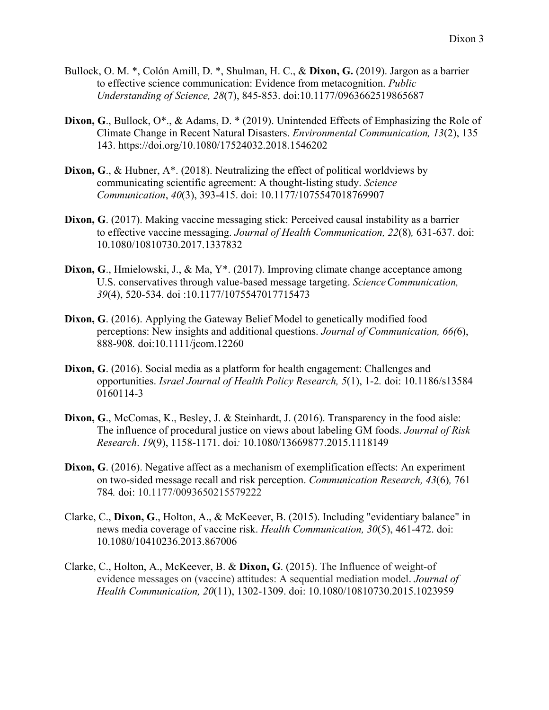- Bullock, O. M. \*, Colón Amill, D. \*, Shulman, H. C., & **Dixon, G.** (2019). Jargon as a barrier to effective science communication: Evidence from metacognition. *Public Understanding of Science, 28*(7), 845-853. doi:10.1177/0963662519865687
- Dixon, G., Bullock, O<sup>\*</sup>., & Adams, D. \* (2019). Unintended Effects of Emphasizing the Role of Climate Change in Recent Natural Disasters. *Environmental Communication, 13*(2), 135 143. https://doi.org/10.1080/17524032.2018.1546202
- **Dixon, G**., & Hubner, A\*. (2018). Neutralizing the effect of political worldviews by communicating scientific agreement: A thought-listing study. *Science Communication*, *40*(3), 393-415. doi: 10.1177/1075547018769907
- **Dixon, G**. (2017). Making vaccine messaging stick: Perceived causal instability as a barrier to effective vaccine messaging. *Journal of Health Communication, 22*(8)*,* 631-637. doi: [10.1080/10810730.2017.1337832](http://dx.doi.org/10.1080/10810730.2017.1337832)
- **Dixon, G**., Hmielowski, J., & Ma, Y\*. (2017). Improving climate change acceptance among U.S. conservatives through value-based message targeting. *ScienceCommunication, 39*(4), 520-534. doi :10.1177/1075547017715473
- **Dixon, G**. (2016). Applying the Gateway Belief Model to genetically modified food perceptions: New insights and additional questions. *Journal of Communication, 66(*6), 888-908*.* doi:10.1111/jcom.12260
- **Dixon, G**. (2016). Social media as a platform for health engagement: Challenges and opportunities. *Israel Journal of Health Policy Research, 5*(1), 1-2*.* doi: 10.1186/s13584 0160114-3
- **Dixon, G**., McComas, K., Besley, J. & Steinhardt, J. (2016). Transparency in the food aisle: The influence of procedural justice on views about labeling GM foods. *Journal of Risk Research*. *19*(9), 1158-1171. doi*:* 10.1080/13669877.2015.1118149
- **Dixon, G**. (2016). Negative affect as a mechanism of exemplification effects: An experiment on two-sided message recall and risk perception. *Communication Research, 43*(6)*,* 761 784*.* doi: 10.1177/0093650215579222
- Clarke, C., **Dixon, G**., Holton, A., & McKeever, B. (2015). Including "evidentiary balance" in news media coverage of vaccine risk. *Health Communication, 30*(5), 461-472. doi: 10.1080/10410236.2013.867006
- Clarke, C., Holton, A., McKeever, B. & **Dixon, G**. (2015). The Influence of weight-of evidence messages on (vaccine) attitudes: A sequential mediation model. *Journal of Health Communication, 20*(11), 1302-1309. doi: 10.1080/10810730.2015.1023959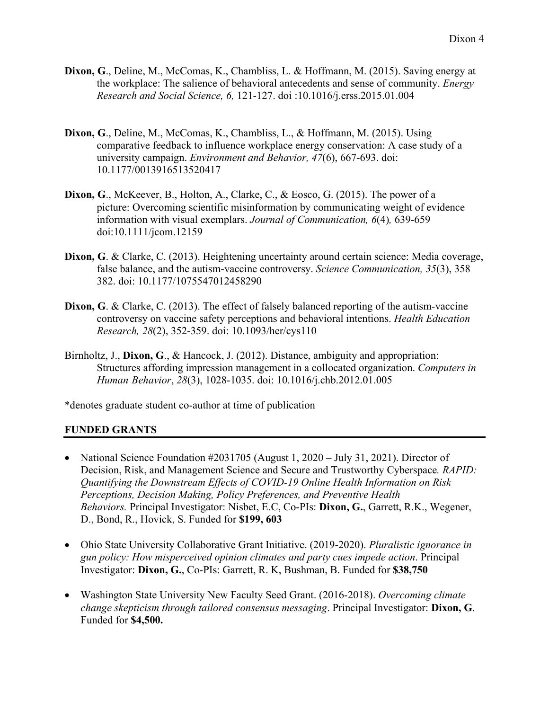- **Dixon, G**., Deline, M., McComas, K., Chambliss, L. & Hoffmann, M. (2015). Saving energy at the workplace: The salience of behavioral antecedents and sense of community. *Energy Research and Social Science, 6,* 121-127. doi [:10.1016/j.erss.2015.01.004](http://dx.doi.org/10.1016/j.erss.2015.01.004)
- **Dixon, G**., Deline, M., McComas, K., Chambliss, L., & Hoffmann, M. (2015). Using comparative feedback to influence workplace energy conservation: A case study of a university campaign. *Environment and Behavior, 47*(6), 667-693. doi: 10.1177/0013916513520417
- **Dixon, G**., McKeever, B., Holton, A., Clarke, C., & Eosco, G. (2015). The power of a picture: Overcoming scientific misinformation by communicating weight of evidence information with visual exemplars. *Journal of Communication, 6*(4)*,* 639-659 doi:10.1111/jcom.12159
- **Dixon, G**. & Clarke, C. (2013). Heightening uncertainty around certain science: Media coverage, false balance, and the autism-vaccine controversy. *Science Communication, 35*(3), 358 382. doi: 10.1177/1075547012458290
- **Dixon, G. & Clarke, C. (2013).** The effect of falsely balanced reporting of the autism-vaccine controversy on vaccine safety perceptions and behavioral intentions. *Health Education Research, 28*(2), 352-359. doi: 10.1093/her/cys110
- Birnholtz, J., **Dixon, G**., & Hancock, J. (2012). Distance, ambiguity and appropriation: Structures affording impression management in a collocated organization. *Computers in Human Behavior*, *28*(3), 1028-1035. doi: 10.1016/j.chb.2012.01.005

\*denotes graduate student co-author at time of publication

#### **FUNDED GRANTS**

- National Science Foundation #2031705 (August 1, 2020 July 31, 2021). Director of Decision, Risk, and Management Science and Secure and Trustworthy Cyberspace*. RAPID: Quantifying the Downstream Effects of COVID-19 Online Health Information on Risk Perceptions, Decision Making, Policy Preferences, and Preventive Health Behaviors.* Principal Investigator: Nisbet, E.C, Co-PIs: **Dixon, G.**, Garrett, R.K., Wegener, D., Bond, R., Hovick, S. Funded for **\$199, 603**
- Ohio State University Collaborative Grant Initiative. (2019-2020). *Pluralistic ignorance in gun policy: How misperceived opinion climates and party cues impede action*. Principal Investigator: **Dixon, G.**, Co-PIs: Garrett, R. K, Bushman, B. Funded for **\$38,750**
- Washington State University New Faculty Seed Grant. (2016-2018). *Overcoming climate change skepticism through tailored consensus messaging*. Principal Investigator: **Dixon, G**. Funded for **\$4,500.**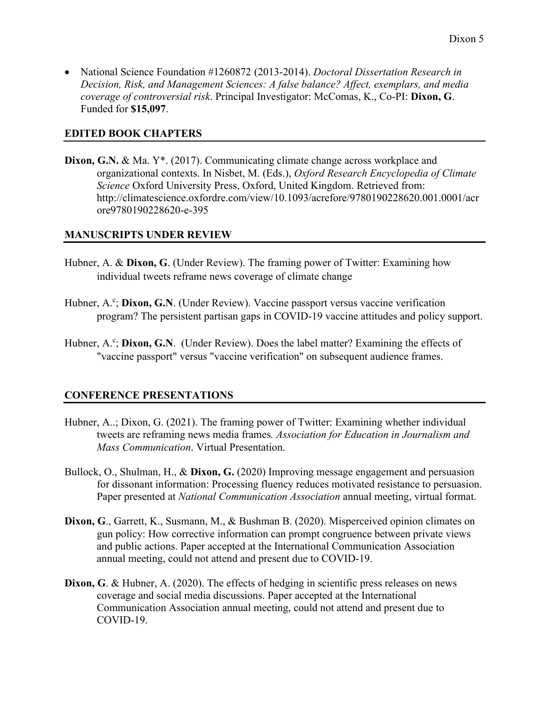• National Science Foundation #1260872 (2013-2014). *Doctoral Dissertation Research in Decision, Risk, and Management Sciences: A false balance? Affect, exemplars, and media coverage of controversial risk*. Principal Investigator: McComas, K., Co-PI: **Dixon, G**. Funded for **\$15,097**.

#### **EDITED BOOK CHAPTERS**

**Dixon, G.N.** & Ma. Y<sup>\*</sup>. (2017). Communicating climate change across workplace and organizational contexts. In Nisbet, M. (Eds.), *Oxford Research Encyclopedia of Climate Science* Oxford University Press, Oxford, United Kingdom. Retrieved from: <http://climatescience.oxfordre.com/view/10.1093/acrefore/9780190228620.001.0001/acr> [ore9780190228620-e-395](http://climatescience.oxfordre.com/view/10.1093/acrefore/9780190228620.001.0001/acr)

#### **MANUSCRIPTS UNDER REVIEW**

- Hubner, A. & **Dixon, G**. (Under Review). The framing power of Twitter: Examining how individual tweets reframe news coverage of climate change
- Hubner, A.<sup>c</sup>; Dixon, G.N. (Under Review). Vaccine passport versus vaccine verification program? The persistent partisan gaps in COVID-19 vaccine attitudes and policy support.
- Hubner, A.<sup>c</sup>; Dixon, G.N. (Under Review). Does the label matter? Examining the effects of "vaccine passport" versus "vaccine verification" on subsequent audience frames.

#### **CONFERENCE PRESENTATIONS**

- Hubner, A..; Dixon, G. (2021). The framing power of Twitter: Examining whether individual tweets are reframing news media frames*. Association for Education in Journalism and Mass Communication*. Virtual Presentation.
- Bullock, O., Shulman, H., & **Dixon, G.** (2020) Improving message engagement and persuasion for dissonant information: Processing fluency reduces motivated resistance to persuasion. Paper presented at *National Communication Association* annual meeting, virtual format.
- **Dixon, G**., Garrett, K., Susmann, M., & Bushman B. (2020). Misperceived opinion climates on gun policy: How corrective information can prompt congruence between private views and public actions. Paper accepted at the International Communication Association annual meeting, could not attend and present due to COVID-19.
- **Dixon, G. & Hubner, A. (2020). The effects of hedging in scientific press releases on news** coverage and social media discussions. Paper accepted at the International Communication Association annual meeting, could not attend and present due to COVID-19.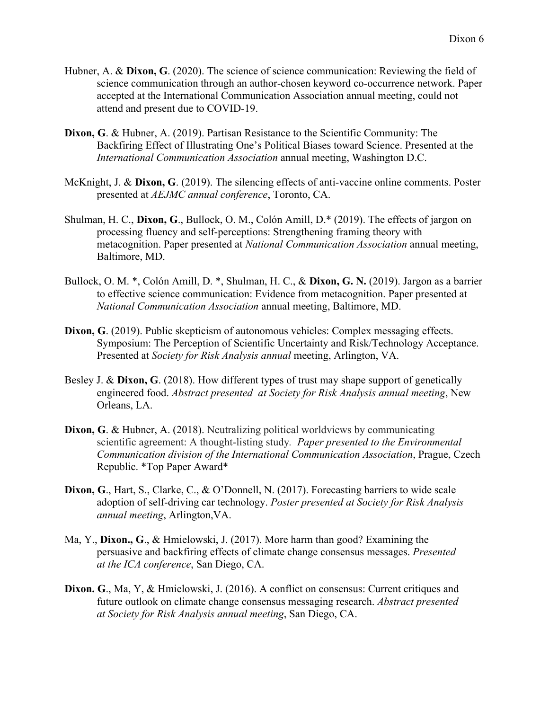- Hubner, A. & **Dixon, G**. (2020). The science of science communication: Reviewing the field of science communication through an author-chosen keyword co-occurrence network. Paper accepted at the International Communication Association annual meeting, could not attend and present due to COVID-19.
- **Dixon, G**. & Hubner, A. (2019). Partisan Resistance to the Scientific Community: The Backfiring Effect of Illustrating One's Political Biases toward Science. Presented at the *International Communication Association* annual meeting, Washington D.C.
- McKnight, J. & **Dixon, G**. (2019). The silencing effects of anti-vaccine online comments. Poster presented at *AEJMC annual conference*, Toronto, CA.
- Shulman, H. C., **Dixon, G**., Bullock, O. M., Colón Amill, D.\* (2019). The effects of jargon on processing fluency and self-perceptions: Strengthening framing theory with metacognition. Paper presented at *National Communication Association* annual meeting, Baltimore, MD.
- Bullock, O. M. \*, Colón Amill, D. \*, Shulman, H. C., & **Dixon, G. N.** (2019). Jargon as a barrier to effective science communication: Evidence from metacognition. Paper presented at *National Communication Association* annual meeting, Baltimore, MD.
- **Dixon, G**. (2019). Public skepticism of autonomous vehicles: Complex messaging effects. Symposium: The Perception of Scientific Uncertainty and Risk/Technology Acceptance. Presented at *Society for Risk Analysis annual* meeting, Arlington, VA.
- Besley J. & **Dixon, G**. (2018). How different types of trust may shape support of genetically engineered food. *Abstract presented at Society for Risk Analysis annual meeting*, New Orleans, LA.
- **Dixon, G**. & Hubner, A. (2018). Neutralizing political worldviews by communicating scientific agreement: A thought-listing study*. Paper presented to the Environmental Communication division of the International Communication Association*, Prague, Czech Republic. \*Top Paper Award\*
- Dixon, G., Hart, S., Clarke, C., & O'Donnell, N. (2017). Forecasting barriers to wide scale adoption of self-driving car technology. *Poster presented at Society for Risk Analysis annual meeting*, Arlington,VA.
- Ma, Y., **Dixon., G**., & Hmielowski, J. (2017). More harm than good? Examining the persuasive and backfiring effects of climate change consensus messages. *Presented at the ICA conference*, San Diego, CA.
- **Dixon. G**., Ma, Y, & Hmielowski, J. (2016). A conflict on consensus: Current critiques and future outlook on climate change consensus messaging research. *Abstract presented at Society for Risk Analysis annual meeting*, San Diego, CA.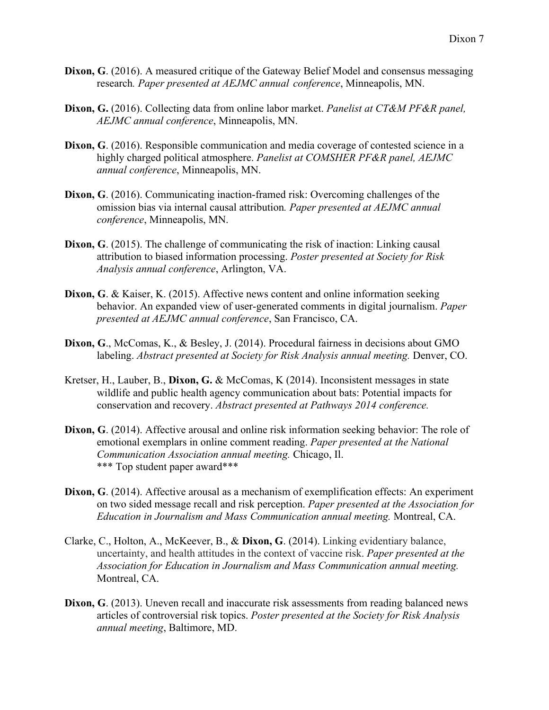- **Dixon, G**. (2016). A measured critique of the Gateway Belief Model and consensus messaging research*. Paper presented at AEJMC annual conference*, Minneapolis, MN.
- **Dixon, G.** (2016). Collecting data from online labor market. *Panelist at CT&M PF&R panel, AEJMC annual conference*, Minneapolis, MN.
- **Dixon, G**. (2016). Responsible communication and media coverage of contested science in a highly charged political atmosphere. *Panelist at COMSHER PF&R panel, AEJMC annual conference*, Minneapolis, MN.
- **Dixon, G**. (2016). Communicating inaction-framed risk: Overcoming challenges of the omission bias via internal causal attribution*. Paper presented at AEJMC annual conference*, Minneapolis, MN.
- **Dixon, G**. (2015). The challenge of communicating the risk of inaction: Linking causal attribution to biased information processing. *Poster presented at Society for Risk Analysis annual conference*, Arlington, VA.
- **Dixon, G**. & Kaiser, K. (2015). Affective news content and online information seeking behavior. An expanded view of user-generated comments in digital journalism. *Paper presented at AEJMC annual conference*, San Francisco, CA.
- **Dixon, G**., McComas, K., & Besley, J. (2014). Procedural fairness in decisions about GMO labeling. *Abstract presented at Society for Risk Analysis annual meeting.* Denver, CO.
- Kretser, H., Lauber, B., **Dixon, G.** & McComas, K (2014). Inconsistent messages in state wildlife and public health agency communication about bats: Potential impacts for conservation and recovery. *Abstract presented at Pathways 2014 conference.*
- **Dixon, G**. (2014). Affective arousal and online risk information seeking behavior: The role of emotional exemplars in online comment reading. *Paper presented at the National Communication Association annual meeting.* Chicago, Il. \*\*\* Top student paper award\*\*\*
- **Dixon, G**. (2014). Affective arousal as a mechanism of exemplification effects: An experiment on two sided message recall and risk perception. *Paper presented at the Association for Education in Journalism and Mass Communication annual meeting.* Montreal, CA.
- Clarke, C., Holton, A., McKeever, B., & **Dixon, G**. (2014). Linking evidentiary balance, uncertainty, and health attitudes in the context of vaccine risk. *Paper presented at the Association for Education in Journalism and Mass Communication annual meeting.* Montreal, CA.
- **Dixon, G**. (2013). Uneven recall and inaccurate risk assessments from reading balanced news articles of controversial risk topics. *Poster presented at the Society for Risk Analysis annual meeting*, Baltimore, MD.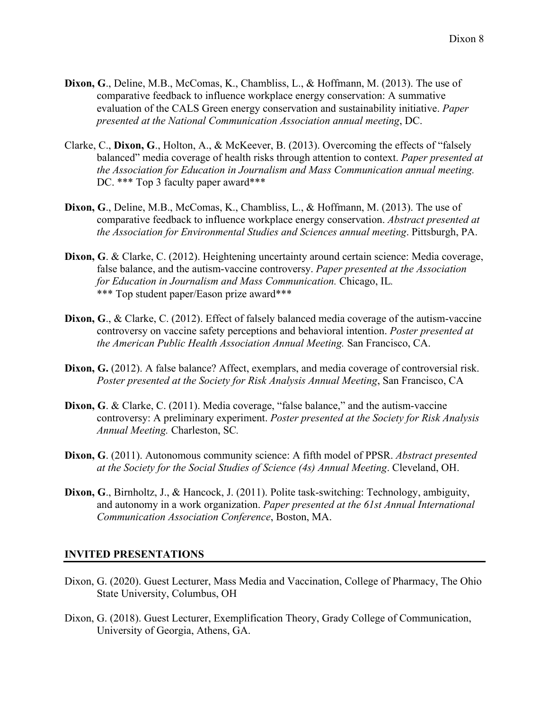- **Dixon, G**., Deline, M.B., McComas, K., Chambliss, L., & Hoffmann, M. (2013). The use of comparative feedback to influence workplace energy conservation: A summative evaluation of the CALS Green energy conservation and sustainability initiative. *Paper presented at the National Communication Association annual meeting*, DC.
- Clarke, C., **Dixon, G**., Holton, A., & McKeever, B. (2013). Overcoming the effects of "falsely balanced" media coverage of health risks through attention to context. *Paper presented at the Association for Education in Journalism and Mass Communication annual meeting.*  DC. \*\*\* Top 3 faculty paper award\*\*\*
- **Dixon, G**., Deline, M.B., McComas, K., Chambliss, L., & Hoffmann, M. (2013). The use of comparative feedback to influence workplace energy conservation. *Abstract presented at the Association for Environmental Studies and Sciences annual meeting*. Pittsburgh, PA.
- **Dixon, G**. & Clarke, C. (2012). Heightening uncertainty around certain science: Media coverage, false balance, and the autism-vaccine controversy. *Paper presented at the Association for Education in Journalism and Mass Communication.* Chicago, IL*.* \*\*\* Top student paper/Eason prize award\*\*\*
- **Dixon, G**., & Clarke, C. (2012). Effect of falsely balanced media coverage of the autism-vaccine controversy on vaccine safety perceptions and behavioral intention. *Poster presented at the American Public Health Association Annual Meeting.* San Francisco, CA.
- **Dixon, G.** (2012). A false balance? Affect, exemplars, and media coverage of controversial risk. *Poster presented at the Society for Risk Analysis Annual Meeting*, San Francisco, CA
- **Dixon, G. & Clarke, C. (2011).** Media coverage, "false balance," and the autism-vaccine controversy: A preliminary experiment. *Poster presented at the Society for Risk Analysis Annual Meeting.* Charleston, SC*.*
- **Dixon, G**. (2011). Autonomous community science: A fifth model of PPSR. *Abstract presented at the Society for the Social Studies of Science (4s) Annual Meeting*. Cleveland, OH.
- **Dixon, G**., Birnholtz, J., & Hancock, J. (2011). Polite task-switching: Technology, ambiguity, and autonomy in a work organization. *Paper presented at the 61st Annual International Communication Association Conference*, Boston, MA.

#### **INVITED PRESENTATIONS**

- Dixon, G. (2020). Guest Lecturer, Mass Media and Vaccination, College of Pharmacy, The Ohio State University, Columbus, OH
- Dixon, G. (2018). Guest Lecturer, Exemplification Theory, Grady College of Communication, University of Georgia, Athens, GA.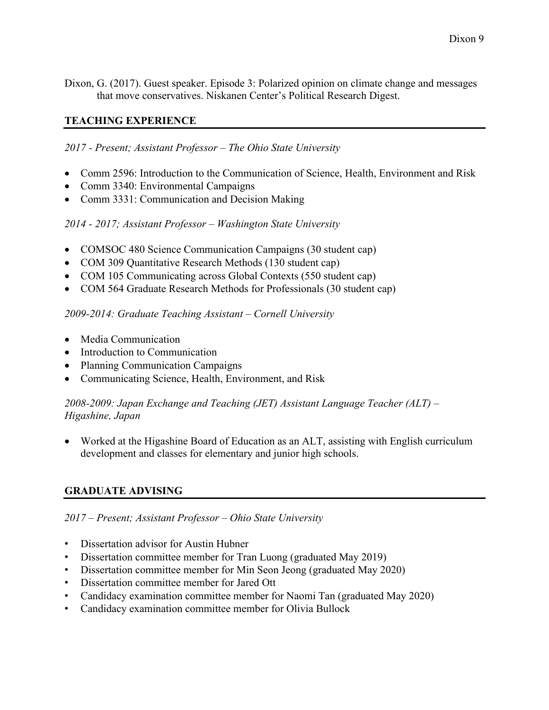Dixon, G. (2017). Guest speaker. Episode 3: Polarized opinion on climate change and messages that move conservatives. Niskanen Center's Political Research Digest.

## **TEACHING EXPERIENCE**

*2017 - Present; Assistant Professor – The Ohio State University*

- Comm 2596: Introduction to the Communication of Science, Health, Environment and Risk
- Comm 3340: Environmental Campaigns
- Comm 3331: Communication and Decision Making

#### *2014 - 2017; Assistant Professor – Washington State University*

- COMSOC 480 Science Communication Campaigns (30 student cap)
- COM 309 Quantitative Research Methods (130 student cap)
- COM 105 Communicating across Global Contexts (550 student cap)
- COM 564 Graduate Research Methods for Professionals (30 student cap)

#### *2009-2014: Graduate Teaching Assistant – Cornell University*

- Media Communication
- Introduction to Communication
- Planning Communication Campaigns
- Communicating Science, Health, Environment, and Risk

## *2008-2009: Japan Exchange and Teaching (JET) Assistant Language Teacher (ALT) – Higashine, Japan*

• Worked at the Higashine Board of Education as an ALT, assisting with English curriculum development and classes for elementary and junior high schools.

## **GRADUATE ADVISING**

#### *2017 – Present; Assistant Professor – Ohio State University*

- Dissertation advisor for Austin Hubner
- Dissertation committee member for Tran Luong (graduated May 2019)
- Dissertation committee member for Min Seon Jeong (graduated May 2020)
- Dissertation committee member for Jared Ott
- Candidacy examination committee member for Naomi Tan (graduated May 2020)
- Candidacy examination committee member for Olivia Bullock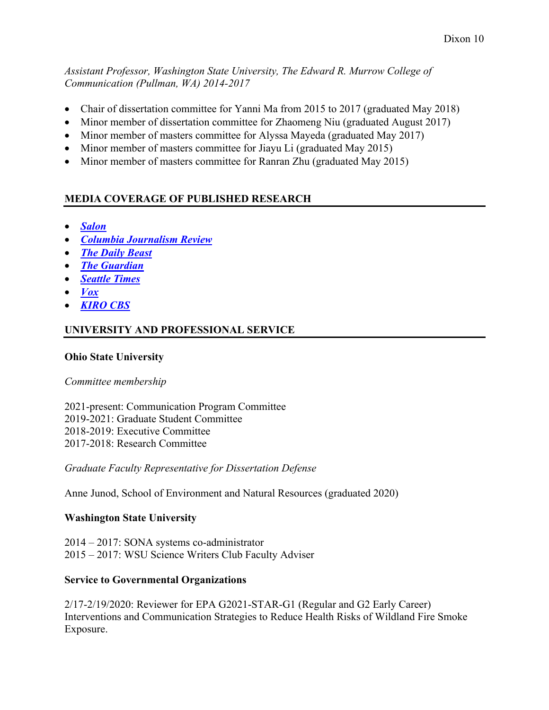*Assistant Professor, Washington State University, The Edward R. Murrow College of Communication (Pullman, WA) 2014-2017*

- Chair of dissertation committee for Yanni Ma from 2015 to 2017 (graduated May 2018)
- Minor member of dissertation committee for Zhaomeng Niu (graduated August 2017)
- Minor member of masters committee for Alyssa Mayeda (graduated May 2017)
- Minor member of masters committee for Jiayu Li (graduated May 2015)
- Minor member of masters committee for Ranran Zhu (graduated May 2015)

# **MEDIA COVERAGE OF PUBLISHED RESEARCH**

- *[Salon](https://www.salon.com/2020/09/27/with-covid-19-vaccine-messaging-faces-an-unprecedented-test_partner/)*
- *[Columbia Journalism Review](http://www.cjr.org/feature/sticking_with_the_truth.php?page=all)*
- *[The Daily Beast](http://www.thedailybeast.com/articles/2013/05/01/how-balanced-press-coverage-enabled-vaccine-trutherism.html)*
- *[The Guardian](http://www.theguardian.com/commentisfree/2013/oct/16/anti-vaccination-activists-should-not-be-given-a-say-in-the-media)*
- *[Seattle Times](http://www.seattletimes.com/seattle-news/health/wsu-study-emotional-pitch-to-vaccine-skeptics-may-backfire/)*
- *[Vox](http://www.vox.com/2015/7/27/9047819/H1N1-pandemic-narcolepsy-Pandemrix)*
- *[KIRO CBS](http://kirotv.com/news/news/scare-tactics-wont-work-when-trying-get-parents-va/nkNMb/)*

# **UNIVERSITY AND PROFESSIONAL SERVICE**

## **Ohio State University**

## *Committee membership*

2021-present: Communication Program Committee 2019-2021: Graduate Student Committee 2018-2019: Executive Committee 2017-2018: Research Committee

*Graduate Faculty Representative for Dissertation Defense*

Anne Junod, School of Environment and Natural Resources (graduated 2020)

# **Washington State University**

2014 – 2017: SONA systems co-administrator 2015 – 2017: WSU Science Writers Club Faculty Adviser

# **Service to Governmental Organizations**

2/17-2/19/2020: Reviewer for EPA G2021-STAR-G1 (Regular and G2 Early Career) Interventions and Communication Strategies to Reduce Health Risks of Wildland Fire Smoke Exposure.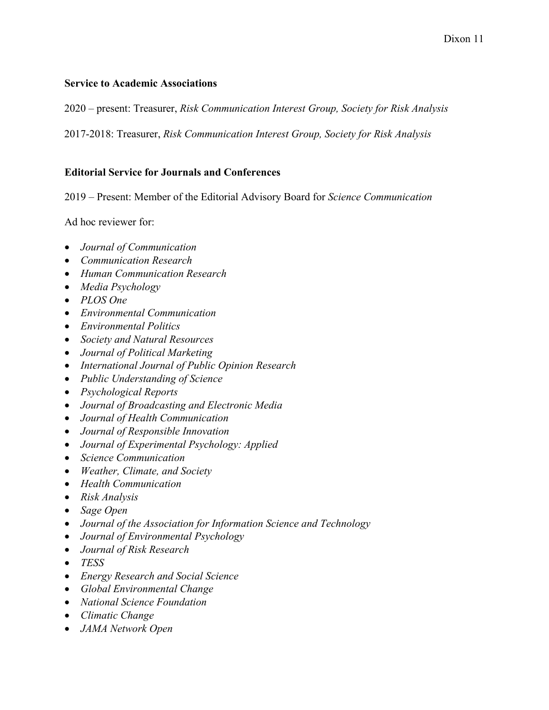#### **Service to Academic Associations**

2020 – present: Treasurer, *Risk Communication Interest Group, Society for Risk Analysis*

2017-2018: Treasurer, *Risk Communication Interest Group, Society for Risk Analysis*

#### **Editorial Service for Journals and Conferences**

2019 – Present: Member of the Editorial Advisory Board for *Science Communication*

Ad hoc reviewer for:

- *Journal of Communication*
- *Communication Research*
- *Human Communication Research*
- *Media Psychology*
- *PLOS One*
- *Environmental Communication*
- *Environmental Politics*
- *Society and Natural Resources*
- *Journal of Political Marketing*
- *International Journal of Public Opinion Research*
- *Public Understanding of Science*
- *Psychological Reports*
- *Journal of Broadcasting and Electronic Media*
- *Journal of Health Communication*
- *Journal of Responsible Innovation*
- *Journal of Experimental Psychology: Applied*
- *Science Communication*
- *Weather, Climate, and Society*
- *Health Communication*
- *Risk Analysis*
- *Sage Open*
- *Journal of the Association for Information Science and Technology*
- *Journal of Environmental Psychology*
- *Journal of Risk Research*
- *TESS*
- *Energy Research and Social Science*
- *Global Environmental Change*
- *National Science Foundation*
- *Climatic Change*
- *JAMA Network Open*